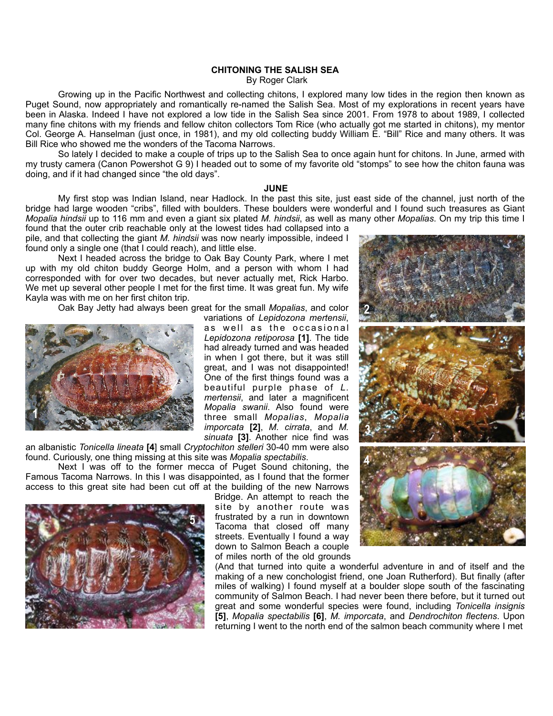## **CHITONING THE SALISH SEA**

By Roger Clark

 Growing up in the Pacific Northwest and collecting chitons, I explored many low tides in the region then known as Puget Sound, now appropriately and romantically re-named the Salish Sea. Most of my explorations in recent years have been in Alaska. Indeed I have not explored a low tide in the Salish Sea since 2001. From 1978 to about 1989, I collected many fine chitons with my friends and fellow chiton collectors Tom Rice (who actually got me started in chitons), my mentor Col. George A. Hanselman (just once, in 1981), and my old collecting buddy William E. "Bill" Rice and many others. It was Bill Rice who showed me the wonders of the Tacoma Narrows.

 So lately I decided to make a couple of trips up to the Salish Sea to once again hunt for chitons. In June, armed with my trusty camera (Canon Powershot G 9) I headed out to some of my favorite old "stomps" to see how the chiton fauna was doing, and if it had changed since "the old days".

## *JUNE JUNE*

 My first stop was Indian Island, near Hadlock. In the past this site, just east side of the channel, just north of the bridge had large wooden "cribs", filled with boulders. These boulders were wonderful and I found such treasures as Giant *Mopalia hindsii* up to 116 mm and even a giant six plated *M. hindsii*, as well as many other *Mopalias*. On my trip this time I

found that the outer crib reachable only at the lowest tides had collapsed into a pile, and that collecting the giant *M. hindsii* was now nearly impossible, indeed I found only a single one (that I could reach), and little else.

 Next I headed across the bridge to Oak Bay County Park, where I met up with my old chiton buddy George Holm, and a person with whom I had corresponded with for over two decades, but never actually met, Rick Harbo. We met up several other people I met for the first time. It was great fun. My wife Kayla was with me on her first chiton trip.

Oak Bay Jetty had always been great for the small *Mopalias*, and color



variations of *Lepidozona mertensii*, as well as the occasional *Lepidozona retiporosa* **[1]**. The tide had already turned and was headed in when I got there, but it was still great, and I was not disappointed! One of the first things found was a beautiful purple phase of *L. mertensii*, and later a magnificent *Mopalia swanii*. Also found were three small *Mopalias*, *Mopalia imporcata* **[2]**, *M. cirrata*, and *M. sinuata* **[3]**. Another nice find was

an albanistic *Tonicella lineata* **[4**] small *Cryptochiton stelleri* 30-40 mm were also found. Curiously, one thing missing at this site was *Mopalia spectabilis*.

 Next I was off to the former mecca of Puget Sound chitoning, the Famous Tacoma Narrows. In this I was disappointed, as I found that the former access to this great site had been cut off at the building of the new Narrows



Bridge. An attempt to reach the site by another route was frustrated by a run in downtown Tacoma that closed off many streets. Eventually I found a way down to Salmon Beach a couple of miles north of the old grounds



(And that turned into quite a wonderful adventure in and of itself and the making of a new conchologist friend, one Joan Rutherford). But finally (after miles of walking) I found myself at a boulder slope south of the fascinating community of Salmon Beach. I had never been there before, but it turned out great and some wonderful species were found, including *Tonicella insignis* **[5]**, *Mopalia spectabilis* **[6]**, *M. imporcata*, and *Dendrochiton flectens*. Upon returning I went to the north end of the salmon beach community where I met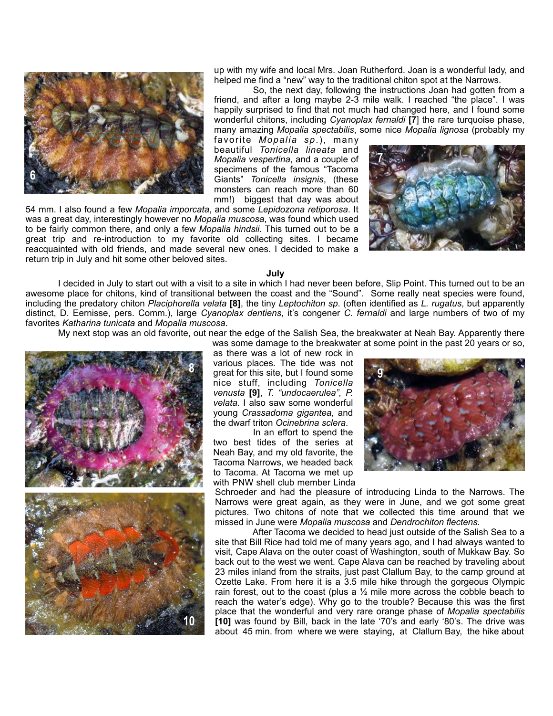

up with my wife and local Mrs. Joan Rutherford. Joan is a wonderful lady, and helped me find a "new" way to the traditional chiton spot at the Narrows.

 So, the next day, following the instructions Joan had gotten from a friend, and after a long maybe 2-3 mile walk. I reached "the place". I was happily surprised to find that not much had changed here, and I found some wonderful chitons, including *Cyanoplax fernaldi* **[7**] the rare turquoise phase, many amazing *Mopalia spectabilis*, some nice *Mopalia lignosa* (probably my

favorite *Mopalia sp*.), many beautiful *Tonicella lineata* and *Mopalia vespertina*, and a couple of specimens of the famous "Tacoma Giants" *Tonicella insignis*, (these monsters can reach more than 60 mm!) biggest that day was about

54 mm. I also found a few *Mopalia imporcata*, and some *Lepidozona retiporosa*. It was a great day, interestingly however no *Mopalia muscosa*, was found which used to be fairly common there, and only a few *Mopalia hindsii*. This turned out to be a great trip and re-introduction to my favorite old collecting sites. I became reacquainted with old friends, and made several new ones. I decided to make a return trip in July and hit some other beloved sites.



 **July**

 I decided in July to start out with a visit to a site in which I had never been before, Slip Point. This turned out to be an awesome place for chitons, kind of transitional between the coast and the "Sound". Some really neat species were found, including the predatory chiton *Placiphorella velata* **[8]**, the tiny *Leptochiton sp*. (often identified as *L. rugatus*, but apparently distinct, D. Eernisse, pers. Comm.), large *Cyanoplax dentiens*, it's congener *C. fernaldi* and large numbers of two of my favorites *Katharina tunicata* and *Mopalia muscosa*.

My next stop was an old favorite, out near the edge of the Salish Sea, the breakwater at Neah Bay. Apparently there



was some damage to the breakwater at some point in the past 20 years or so, as there was a lot of new rock in various places. The tide was not great for this site, but I found some nice stuff, including *Tonicella venusta* **[9]**, *T. "undocaerulea", P. velata*. I also saw some wonderful young *Crassadoma gigantea*, and the dwarf triton *Ocinebrina sclera*.

 In an effort to spend the two best tides of the series at Neah Bay, and my old favorite, the Tacoma Narrows, we headed back to Tacoma. At Tacoma we met up with PNW shell club member Linda



Schroeder and had the pleasure of introducing Linda to the Narrows. The Narrows were great again, as they were in June, and we got some great pictures. Two chitons of note that we collected this time around that we missed in June were *Mopalia muscosa* and *Dendrochiton flectens.*

 After Tacoma we decided to head just outside of the Salish Sea to a site that Bill Rice had told me of many years ago, and I had always wanted to visit, Cape Alava on the outer coast of Washington, south of Mukkaw Bay. So back out to the west we went. Cape Alava can be reached by traveling about 23 miles inland from the straits, just past Clallum Bay, to the camp ground at Ozette Lake. From here it is a 3.5 mile hike through the gorgeous Olympic rain forest, out to the coast (plus a  $\frac{1}{2}$  mile more across the cobble beach to reach the water's edge). Why go to the trouble? Because this was the first place that the wonderful and very rare orange phase of *Mopalia spectabilis* **[10]** was found by Bill, back in the late '70's and early '80's. The drive was about 45 min. from where we were staying, at Clallum Bay, the hike about